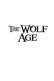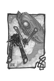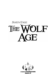### **JAMES ENGE**  $\epsilon$ OLF GE

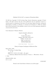Published 2010 by Pyr®, an imprint of Prometheus Books

*The Wolf Age*. Copyright © 2010 by James Enge. Interior illustrations copyright © Chuck Lukacs. All rights reserved. No part of this publication may be reproduced, stored in a retrieval system, or transmitted in any form or by any means, digital, electronic, mechanical, photocopying, recording, or otherwise, or conveyed via the Internet or a Web site without prior written permission of the publisher, except in the case of brief quotations embodied in critical articles and reviews.

Cover illustration © Dominic Harmon.

Inquiries should be addressed to Pyr 59 John Glenn Drive Amherst, New York 14228–2119 VOICE: 716–691–0133 FAX: 716–691–0137 WWW.PYRSF.COM

14 13 12 11 10 5 4 3 2 1

Library of Congress Cataloging-in-Publication Data

Enge, James, 1960– The wolf age / by James Enge. p. cm. ISBN 978–1–61614–243–8 (pbk. : alk. paper) 1. Ambrosius, Morlock (Fictitious character)—Fiction. 2. Werewolves—Fiction. I. Title.

PS3605.N43W6 2010 813'.6—dc22

2010024687

Printed in the United States of America on acid-free paper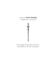#### *In Memoriam* Patricia Pfundstein:

a stranger here, a citizen there



*Patria splendida terraque florida, libera spinis, danda fidelibus est ibi civibus, hic peregrinis.*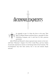## **ACKNOWLEDGMENTS**

he epigraph to part 4 is from the lyrics to the song "Dire Wolf" by Robert Hunter and Jerry Garcia, copyright Ice Nine Publishing Company, and is used here by their generous permission.

John O'Neill and Howard A. Jones expressed some interest in the werewolf from "Destroyer" (chapter 10 of *This Crooked Way*), and Lou Anders incautiously expressed an interest in the Strange Gods of the Coranians. The encouragement may have been unwise, but it was and remains deeply welcome.

T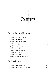# **CONTENTS**

#### PART ONE: RAIDERS OF WURUYAARIA

| Chapter One: Council of the Gods | 15 |
|----------------------------------|----|
| Chapter Two: Death by Water      | 19 |
| Chapter Three: The Vargulleion   | 35 |
| Chapter Four: Undying            | 41 |
| Chapter Five: Visitors           | 49 |
| Chapter Six: <i>Dragonkiller</i> | 55 |
| Chapter Seven: Words             | 61 |
| Chapter Eight: Eyeless Night     | 67 |
| Chapter Nine: Madness            | 77 |
| Chapter Ten: Method              | 83 |
| Chapter Eleven: New Year's Night | 93 |

#### PART TWO: ELECTIONS

| Chapter Twelve: The Outliers             | 111 |
|------------------------------------------|-----|
| Chapter Thirteen: The Sardhluun Standard | 123 |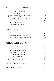#### 10 CONTENTS

| Chapter Fourteen: Fund-Raising               | 131 |
|----------------------------------------------|-----|
| Chapter Fifteen: Quarry                      | 153 |
| Chapter Sixteen: Offers Made; Offers Refused | 157 |
| Chapter Seventeen: Fight and Bite            | 171 |
| Chapter Eighteen: Wisdom at World's End      | 199 |
| Chapter Nineteen: Electrum                   | 205 |
| Chapter Twenty: A Long Night                 | 215 |
| Chapter Twenty-one: Night Shapes             | 235 |

#### PART THREE: MASKS

| Chapter Twenty-two: The Shadow Market     | 251 |
|-------------------------------------------|-----|
| Chapter Twenty-three: War in the Air      | 269 |
| Chapter Twenty-four: Shadow and Substance | 293 |

#### PART FOUR: THE DIRE WOLF'S DUE

| Chapter Twenty-five: Friends and Foes        | 315 |
|----------------------------------------------|-----|
| Chapter Twenty-six: Death of a Citizen       | 327 |
| Chapter Twenty-seven: Long Shots             | 345 |
| Chapter Twenty-eight: The Stone Tree         | 373 |
| Chapter Twenty-nine: <i>Election Results</i> | 391 |
| Chapter Thirty: Makers Meet                  | 407 |
| Chapter Thirty-one: Plans and Devices        | 427 |
| Chapter Thirty-two: Last Words               | 439 |
| Appendix A: Calendar and Astronomy           | 453 |
| Appendix B: Names and Terms                  | 461 |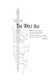## THE WOLF AGE

SPEAR-AGE, SWORD-AGE: SHIELDS ARE SHATTERED. WIND-AGE, WOLF-AGE: BEFORE THE WORLD FOUNDERS MEN WILL SHOW MERCY TO NONE.

-VOLUSPA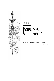

PART ONE

## RAIDERS OF<br>WURUYAARIA

AMONG WOLVES, BE WOLVISH OF COURAGE.

-LYDGATE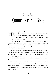#### CHAPTER ONE

## COUNCIL OF THE GODS

isten, Iacomes. This is what I see.

The Strange Gods were gathering by the Stone Tree, but Death and her sister Justice had not yet appeared. Justice, they knew, would not, but they expected Death to be there before them and War was angry. L

"I swear by myself," War signified, indicating by a talic distortion that the oath was not sincere or binding, "Death is the strangest of the Strange Gods. She pervades the mortal world, but she can't manifest herself anywhere within a pact-sworn juncture of space-time!"

"I am here," Death signified.

Now that they noticed her presence among them, the Strange Gods realized she had been implicit in a fold of local space-time all along, and simply had not chosen to reveal her presence to them. The other gods signified nontrivial displeasure with her.

Death indicated indifference and readiness to begin the pact-sworn discussion.

The Strange Gods did not submit to a ruler. In their discussions, it was common for the weakest of them to preside. So Mercy manifested herself more intensely than she would normally have done, and reminded them of their mission to destroy the werewolf city Wuruyaaria and how it was currently imperiled.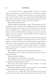#### 16 THE WOLF AGE

"It is Ghosts-in-the-eyes," signified Wisdom. "They are a powerful maker and necromancer—a master of all the arts we hate. Our instrument will destroy the city"—Wisdom indicated a pattern in events they all understood—"but now unless we find a way to bring down the walls of Wuruyaaria more swiftly, our instrument may also destroy great swathes among our worshippers. This goes against our nature and cannot be accepted."

Other gods indicated agreement.

Death indicated chilly amusement: a laugh. "The werewolves will die," she signified. "Their city will die. Our worshippers will die. Our instrument will die. Everything that lives must die. When the last soul is severed, this world will collapse into its component elements and drift away in pieces, flotsam on the Sea of Worlds. All this will happen in time: let events take whatever course they will, this is their destination. If this goes against our nature, our nature is doomed."

Each of the other gods emanated anger that would have killed a material being. It was uncivil of Death to prate about these matters that were well known to every god. If Death felt any discomfort from their emanations, she didn't show it. Her next comment was more immediately helpful, though.

"I have a kind of solution to propose," Death signified. "I would have effected it already, but the consequences will affect our pact-sworn efforts to destroy Wuruyaaria."

Mercy signified a need for more details; other gods echoed her.

Death indicated a trivial detail in the pattern of events: the death of a man named Morlock.

The gods expressed indifference.

Death changed the detail's position in time-space.

The gods meditated on the new potential patterns of events, a flowering of dark futures springing from this one seed.

Most of the gods expressed surprise. Cruelty chuckled a bit, slowly shaking his heavy, many-toothed head.

Death again changed the detail's position in time-space. The manifold patterns of things-to-be changed even more radically.

"How can this be?" signified War. "Men and women die every day and their deaths do not matter." Mercy signified some restlessness at this, but the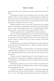Strange Gods were used to ignoring the endless quarrel between War and Mercy.

"The progress of our plan in the as-things-are moves very slowly," Death signified. "There is a tension of powers: our instrument; the pact binding our powers in this nexus of events; that damned sorcerer, Ghosts-in-the-Eyes; the natural forces we do not control; and so on. If we disrupt that tension, unbalanced powers will unleash events like a torrent."

Wisdom emanated concern, a need to wait. They did wait as he juggled futures in various shapes, pondering the uncertain effects of varying causal chains. "I cannot chart the path of this torrent," he signified finally to Death and to his peers. "It may benefit our pact-sworn intention or harm it."

"We must guide the torrent," signified War with obvious eagerness.

"We can't," Wisdom signified bluntly. "If we break our sworn intention we will be adrift in the torrent, effecting local changes within it but unable to determine its course. Each change will create new and interacting series of causation. There is certainty in our pact of sworn intention. In this other there is only chaos."

The Strange Gods, as one, made a symbol of protection against the name of this alien god. It had shocked them, as Wisdom intended, lending an unusual force to his signs.

"Certainty only of failure," Cruelty signified. "I was against the proposed instrument from the beginning. It is clear now that I was right and others were wrong. Why should the pact be sacred? Only our wills are sacred, or we are not gods."

"The pact is our will," signified Loyalty. "It is our will united to act as the Strange Gods. To break that is to blaspheme against ourselves." He continued for some time and stopped only when he visualized that the assembly was against him.

Everything he signified was true, but they would not accept failure. On the other hand, Wisdom had frightened them with his tomorrow-juggling and his metaphorical torrents.

"I propose a compromise," signified Stupidity. "Death alone will be freed from the pact-oath. The rest of us will abide by it. That should reduce the *chaos* in events." The Strange Gods impatiently made again the symbol of